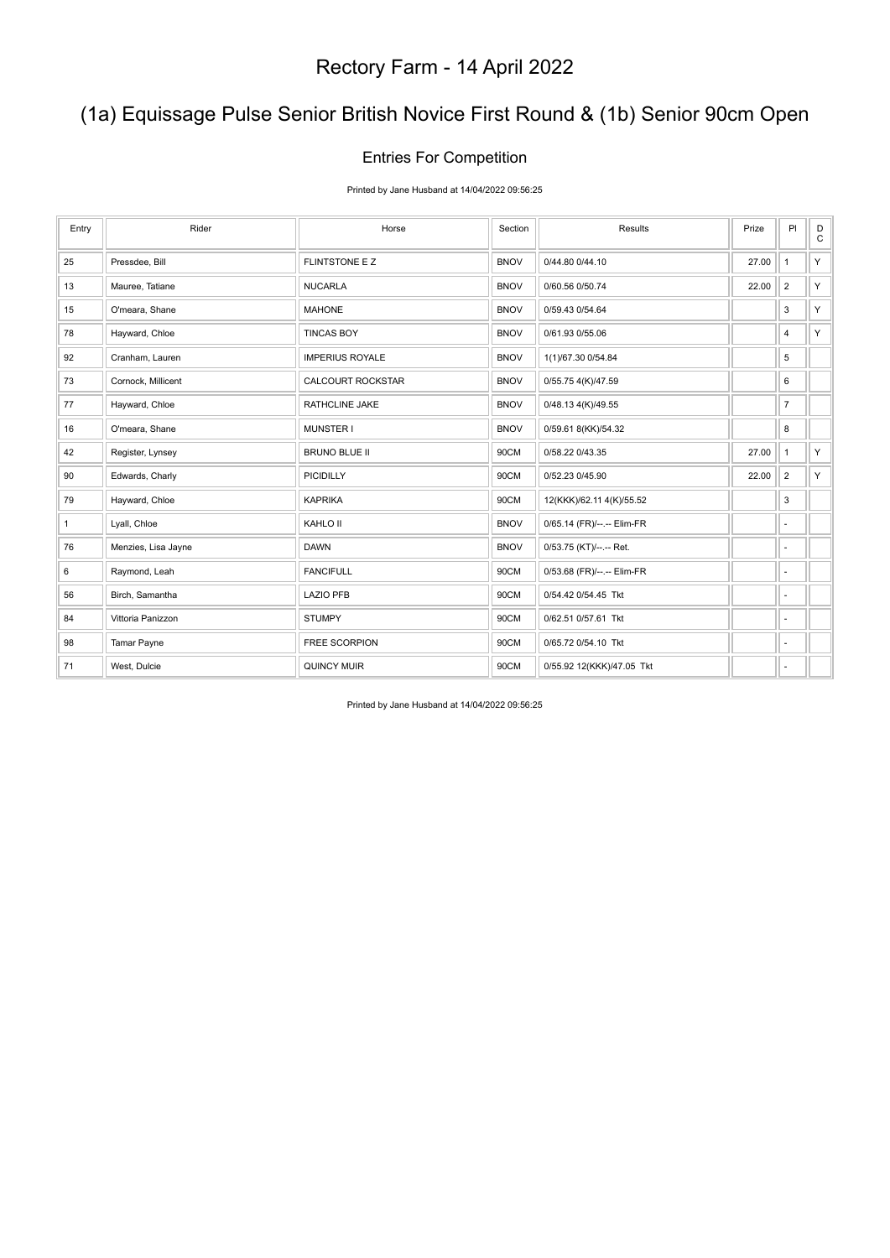# (1a) Equissage Pulse Senior British Novice First Round & (1b) Senior 90cm Open

### Entries For Competition

Printed by Jane Husband at 14/04/2022 09:56:25

| Entry | Rider               | Horse                  | Section     | Results                    | Prize | PI                       | D<br>$\mathsf{C}$ |
|-------|---------------------|------------------------|-------------|----------------------------|-------|--------------------------|-------------------|
| 25    | Pressdee, Bill      | <b>FLINTSTONE E Z</b>  | <b>BNOV</b> | 0/44.80 0/44.10            | 27.00 | $\overline{1}$           | Y                 |
| 13    | Mauree, Tatiane     | <b>NUCARLA</b>         | <b>BNOV</b> | 0/60.56 0/50.74            | 22.00 | $\overline{2}$           | Y                 |
| 15    | O'meara, Shane      | <b>MAHONE</b>          | <b>BNOV</b> | 0/59.43 0/54.64            |       | 3                        | Y                 |
| 78    | Hayward, Chloe      | <b>TINCAS BOY</b>      | <b>BNOV</b> | 0/61.93 0/55.06            |       | $\overline{4}$           | Y                 |
| 92    | Cranham, Lauren     | <b>IMPERIUS ROYALE</b> | <b>BNOV</b> | 1(1)/67.30 0/54.84         |       | 5                        |                   |
| 73    | Cornock, Millicent  | CALCOURT ROCKSTAR      | <b>BNOV</b> | 0/55.75 4(K)/47.59         |       | 6                        |                   |
| 77    | Hayward, Chloe      | RATHCLINE JAKE         | <b>BNOV</b> | 0/48.13 4(K)/49.55         |       | $\overline{7}$           |                   |
| 16    | O'meara, Shane      | <b>MUNSTER I</b>       | <b>BNOV</b> | 0/59.61 8(KK)/54.32        |       | 8                        |                   |
| 42    | Register, Lynsey    | <b>BRUNO BLUE II</b>   | 90CM        | 0/58.22 0/43.35            | 27.00 | $\mathbf{1}$             | Y.                |
| 90    | Edwards, Charly     | PICIDILLY              | 90CM        | 0/52.23 0/45.90            | 22.00 | $\overline{2}$           | Y.                |
| 79    | Hayward, Chloe      | <b>KAPRIKA</b>         | 90CM        | 12(KKK)/62.11 4(K)/55.52   |       | 3                        |                   |
| 1     | Lyall, Chloe        | KAHLO II               | <b>BNOV</b> | 0/65.14 (FR)/--.-- Elim-FR |       | $\overline{\phantom{a}}$ |                   |
| 76    | Menzies, Lisa Jayne | <b>DAWN</b>            | <b>BNOV</b> | 0/53.75 (KT)/--.-- Ret.    |       | ٠                        |                   |
| 6     | Raymond, Leah       | <b>FANCIFULL</b>       | 90CM        | 0/53.68 (FR)/--.-- Elim-FR |       | ÷.                       |                   |
| 56    | Birch, Samantha     | <b>LAZIO PFB</b>       | 90CM        | 0/54.42 0/54.45 Tkt        |       | $\sim$                   |                   |
| 84    | Vittoria Panizzon   | <b>STUMPY</b>          | 90CM        | 0/62.51 0/57.61 Tkt        |       | $\sim$                   |                   |
| 98    | Tamar Payne         | FREE SCORPION          | 90CM        | 0/65.72 0/54.10 Tkt        |       | $\overline{\phantom{a}}$ |                   |
| 71    | West, Dulcie        | <b>QUINCY MUIR</b>     | 90CM        | 0/55.92 12(KKK)/47.05 Tkt  |       | $\sim$                   |                   |

Printed by Jane Husband at 14/04/2022 09:56:25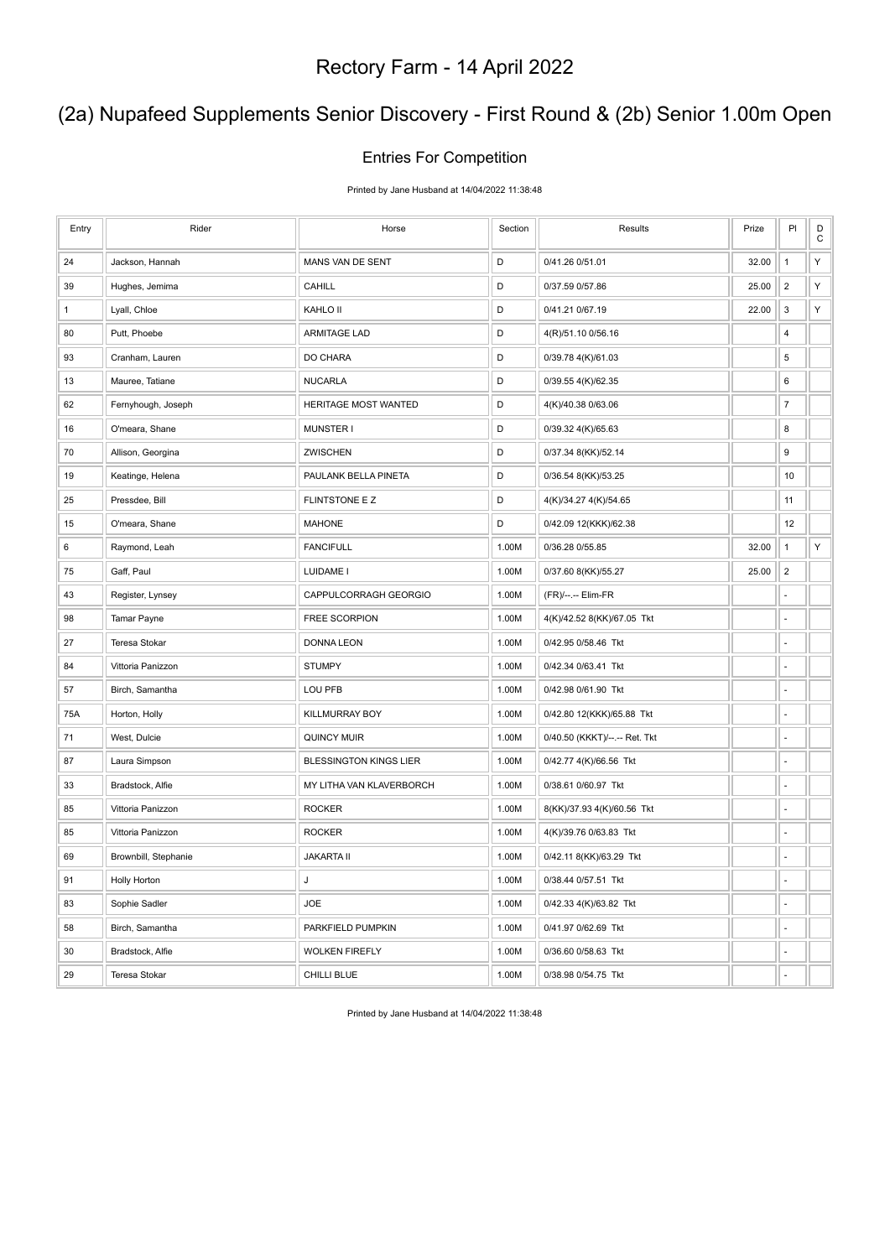# (2a) Nupafeed Supplements Senior Discovery - First Round & (2b) Senior 1.00m Open

#### Entries For Competition

Printed by Jane Husband at 14/04/2022 11:38:48

| Entry        | Rider                | Horse                         | Section     | Results                       | Prize | PI             | D<br>$\mathbf C$ |
|--------------|----------------------|-------------------------------|-------------|-------------------------------|-------|----------------|------------------|
| 24           | Jackson, Hannah      | MANS VAN DE SENT              | D           | 0/41.26 0/51.01               | 32.00 | $\mathbf{1}$   | Υ                |
| 39           | Hughes, Jemima       | <b>CAHILL</b>                 | D           | 0/37.59 0/57.86               | 25.00 | $\overline{2}$ | Υ                |
| $\mathbf{1}$ | Lyall, Chloe         | KAHLO II                      | D           | 0/41.21 0/67.19               | 22.00 | 3              | Υ                |
| 80           | Putt, Phoebe         | <b>ARMITAGE LAD</b>           | $\mathsf D$ | 4(R)/51.10 0/56.16            |       | 4              |                  |
| 93           | Cranham, Lauren      | DO CHARA                      | D           | 0/39.78 4(K)/61.03            |       | $\,$ 5 $\,$    |                  |
| 13           | Mauree, Tatiane      | <b>NUCARLA</b>                | D           | 0/39.55 4(K)/62.35            |       | 6              |                  |
| 62           | Fernyhough, Joseph   | HERITAGE MOST WANTED          | D           | 4(K)/40.38 0/63.06            |       | $\overline{7}$ |                  |
| 16           | O'meara, Shane       | <b>MUNSTER I</b>              | D           | 0/39.32 4(K)/65.63            |       | 8              |                  |
| 70           | Allison, Georgina    | <b>ZWISCHEN</b>               | D           | 0/37.34 8(KK)/52.14           |       | 9              |                  |
| 19           | Keatinge, Helena     | PAULANK BELLA PINETA          | $\mathsf D$ | 0/36.54 8(KK)/53.25           |       | 10             |                  |
| 25           | Pressdee, Bill       | FLINTSTONE E Z                | $\mathsf D$ | 4(K)/34.27 4(K)/54.65         |       | 11             |                  |
| 15           | O'meara, Shane       | <b>MAHONE</b>                 | D           | 0/42.09 12(KKK)/62.38         |       | 12             |                  |
| 6            | Raymond, Leah        | <b>FANCIFULL</b>              | 1.00M       | 0/36.28 0/55.85               | 32.00 | $\mathbf{1}$   | Υ                |
| 75           | Gaff, Paul           | LUIDAME I                     | 1.00M       | 0/37.60 8(KK)/55.27           | 25.00 | $\overline{2}$ |                  |
| 43           | Register, Lynsey     | CAPPULCORRAGH GEORGIO         | 1.00M       | (FR)/--.-- Elim-FR            |       | $\overline{a}$ |                  |
| 98           | Tamar Payne          | FREE SCORPION                 | 1.00M       | 4(K)/42.52 8(KK)/67.05 Tkt    |       | ÷,             |                  |
| 27           | <b>Teresa Stokar</b> | <b>DONNA LEON</b>             | 1.00M       | 0/42.95 0/58.46 Tkt           |       | ÷,             |                  |
| 84           | Vittoria Panizzon    | <b>STUMPY</b>                 | 1.00M       | 0/42.34 0/63.41 Tkt           |       | l,             |                  |
| 57           | Birch, Samantha      | LOU PFB                       | 1.00M       | 0/42.98 0/61.90 Tkt           |       | ÷,             |                  |
| 75A          | Horton, Holly        | KILLMURRAY BOY                | 1.00M       | 0/42.80 12(KKK)/65.88 Tkt     |       | L.             |                  |
| 71           | West, Dulcie         | <b>QUINCY MUIR</b>            | 1.00M       | 0/40.50 (KKKT)/--.-- Ret. Tkt |       | ä,             |                  |
| 87           | Laura Simpson        | <b>BLESSINGTON KINGS LIER</b> | 1.00M       | 0/42.77 4(K)/66.56 Tkt        |       | ÷,             |                  |
| 33           | Bradstock, Alfie     | MY LITHA VAN KLAVERBORCH      | 1.00M       | 0/38.61 0/60.97 Tkt           |       | l,             |                  |
| 85           | Vittoria Panizzon    | <b>ROCKER</b>                 | 1.00M       | 8(KK)/37.93 4(K)/60.56 Tkt    |       | ä,             |                  |
| 85           | Vittoria Panizzon    | <b>ROCKER</b>                 | 1.00M       | 4(K)/39.76 0/63.83 Tkt        |       | ÷,             |                  |
| 69           | Brownbill, Stephanie | <b>JAKARTA II</b>             | 1.00M       | 0/42.11 8(KK)/63.29 Tkt       |       | L.             |                  |
| 91           | <b>Holly Horton</b>  | J                             | 1.00M       | 0/38.44 0/57.51 Tkt           |       | ÷,             |                  |
| 83           | Sophie Sadler        | <b>JOE</b>                    | 1.00M       | 0/42.33 4(K)/63.82 Tkt        |       | L.             |                  |
| 58           | Birch, Samantha      | PARKFIELD PUMPKIN             | 1.00M       | 0/41.97 0/62.69 Tkt           |       | l,             |                  |
| 30           | Bradstock, Alfie     | <b>WOLKEN FIREFLY</b>         | 1.00M       | 0/36.60 0/58.63 Tkt           |       | ä,             |                  |
| 29           | Teresa Stokar        | CHILLI BLUE                   | 1.00M       | 0/38.98 0/54.75 Tkt           |       | ÷.             |                  |

Printed by Jane Husband at 14/04/2022 11:38:48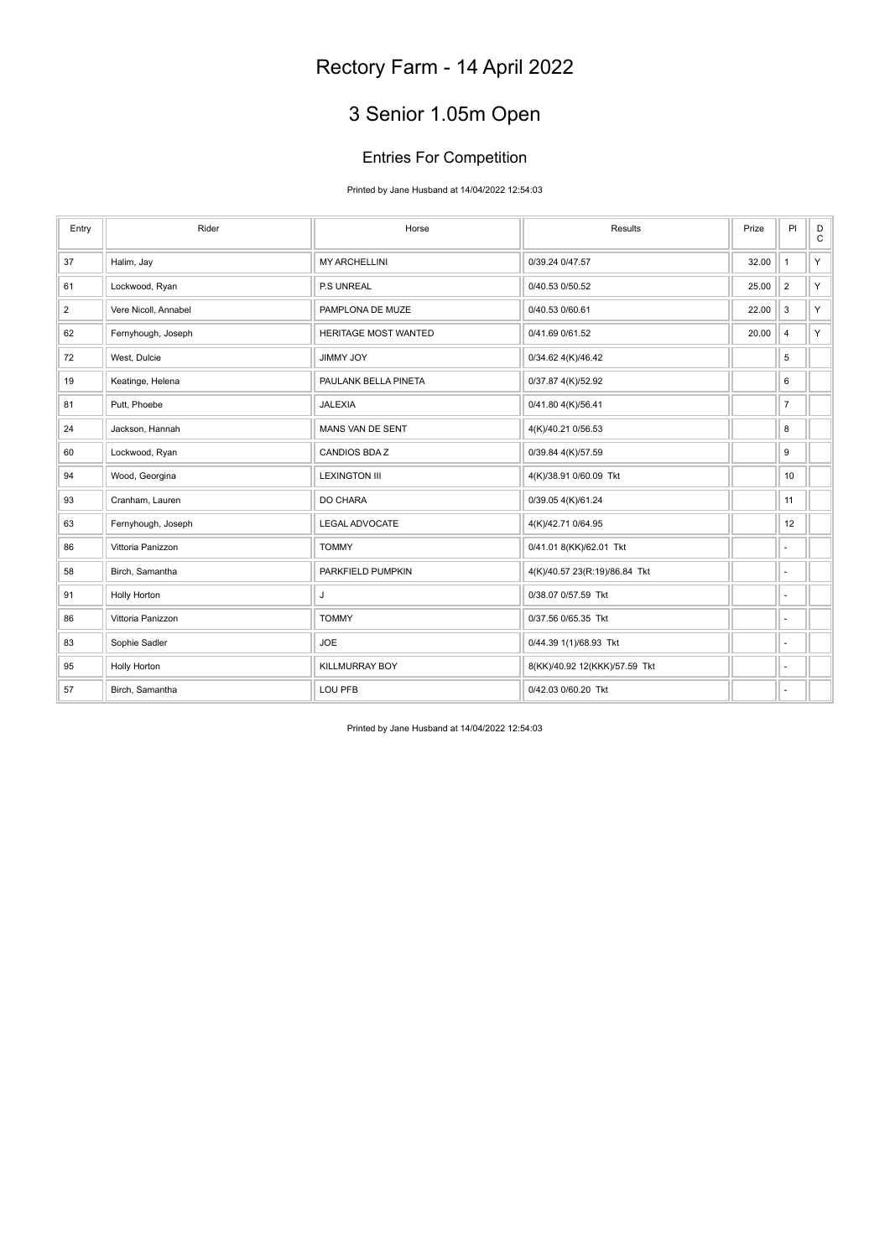# 3 Senior 1.05m Open

### Entries For Competition

Printed by Jane Husband at 14/04/2022 12:54:03

| Entry          | Rider                | Horse                       | Results                       | Prize | PI                       | D<br>$\mathtt{C}$ |
|----------------|----------------------|-----------------------------|-------------------------------|-------|--------------------------|-------------------|
| 37             | Halim, Jay           | <b>MY ARCHELLINI</b>        | 0/39.24 0/47.57               | 32.00 | $\mathbf{1}$             | Y.                |
| 61             | Lockwood, Ryan       | P.S UNREAL                  | 0/40.53 0/50.52               | 25.00 | $\overline{2}$           | Y.                |
| $\overline{2}$ | Vere Nicoll, Annabel | PAMPLONA DE MUZE            | 0/40.53 0/60.61               | 22.00 | 3                        | Y.                |
| 62             | Fernyhough, Joseph   | <b>HERITAGE MOST WANTED</b> | 0/41.69 0/61.52               | 20.00 | 4                        | Y                 |
| 72             | West, Dulcie         | JIMMY JOY                   | 0/34.62 4(K)/46.42            |       | 5                        |                   |
| 19             | Keatinge, Helena     | PAULANK BELLA PINETA        | 0/37.87 4(K)/52.92            |       | 6                        |                   |
| 81             | Putt, Phoebe         | <b>JALEXIA</b>              | 0/41.80 4(K)/56.41            |       | $\overline{7}$           |                   |
| 24             | Jackson, Hannah      | MANS VAN DE SENT            | 4(K)/40.21 0/56.53            |       | 8                        |                   |
| 60             | Lockwood, Ryan       | <b>CANDIOS BDAZ</b>         | 0/39.84 4(K)/57.59            |       | 9                        |                   |
| 94             | Wood, Georgina       | <b>LEXINGTON III</b>        | 4(K)/38.91 0/60.09 Tkt        |       | 10                       |                   |
| 93             | Cranham, Lauren      | DO CHARA                    | 0/39.05 4(K)/61.24            |       | 11                       |                   |
| 63             | Fernyhough, Joseph   | <b>LEGAL ADVOCATE</b>       | 4(K)/42.71 0/64.95            |       | 12                       |                   |
| 86             | Vittoria Panizzon    | <b>TOMMY</b>                | 0/41.01 8(KK)/62.01 Tkt       |       | ٠                        |                   |
| 58             | Birch, Samantha      | PARKFIELD PUMPKIN           | 4(K)/40.57 23(R:19)/86.84 Tkt |       | ٠                        |                   |
| 91             | Holly Horton         | J                           | 0/38.07 0/57.59 Tkt           |       | ٠                        |                   |
| 86             | Vittoria Panizzon    | <b>TOMMY</b>                | 0/37.56 0/65.35 Tkt           |       | $\overline{\phantom{a}}$ |                   |
| 83             | Sophie Sadler        | <b>JOE</b>                  | 0/44.39 1(1)/68.93 Tkt        |       | $\overline{\phantom{a}}$ |                   |
| 95             | <b>Holly Horton</b>  | KILLMURRAY BOY              | 8(KK)/40.92 12(KKK)/57.59 Tkt |       | ٠                        |                   |
| 57             | Birch, Samantha      | LOU PFB                     | 0/42.03 0/60.20 Tkt           |       | ٠                        |                   |

Printed by Jane Husband at 14/04/2022 12:54:03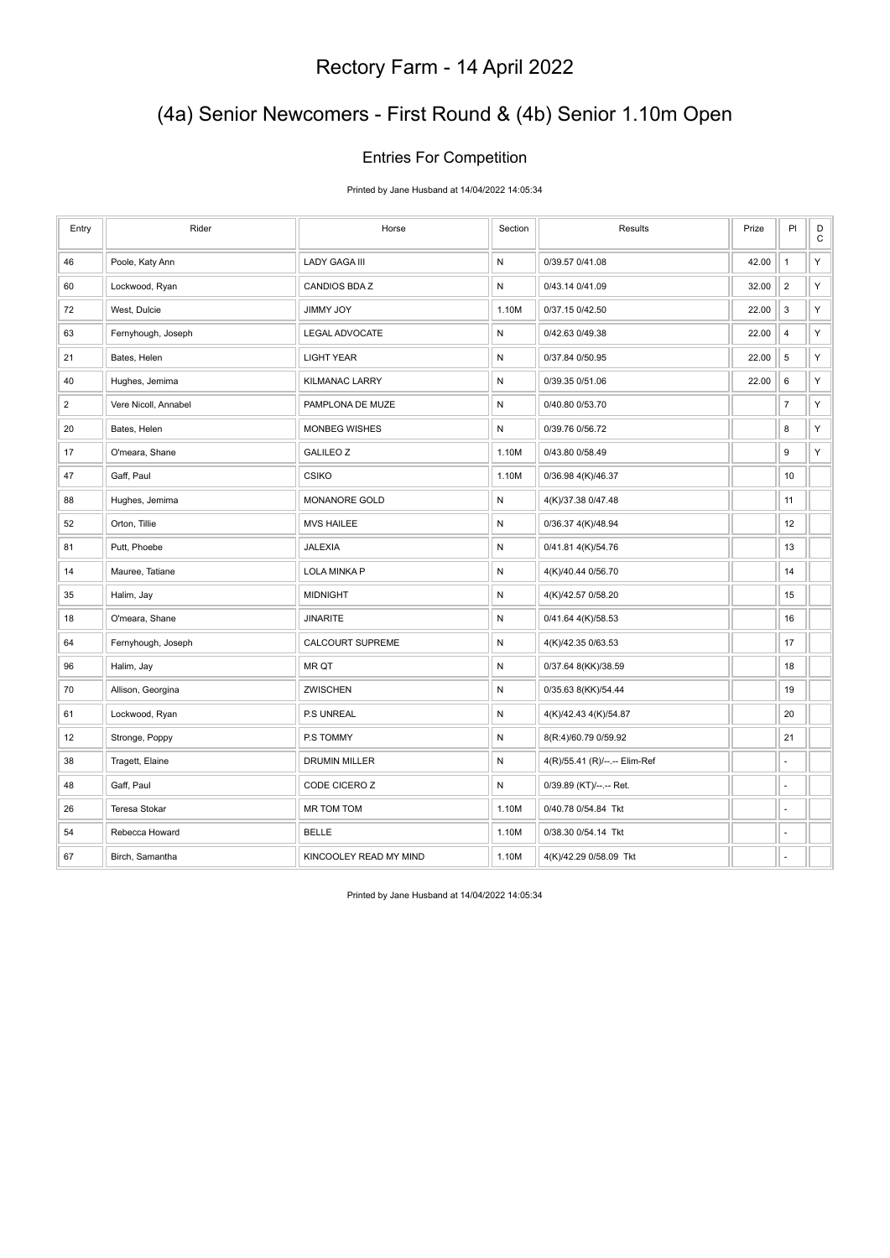# (4a) Senior Newcomers - First Round & (4b) Senior 1.10m Open

### Entries For Competition

Printed by Jane Husband at 14/04/2022 14:05:34

| Entry          | Rider                | Horse                   | Section      | Results                       | Prize | PI             | $_\mathrm{C}^\mathrm{D}$ |
|----------------|----------------------|-------------------------|--------------|-------------------------------|-------|----------------|--------------------------|
| 46             | Poole, Katy Ann      | <b>LADY GAGA III</b>    | $\mathsf{N}$ | 0/39.57 0/41.08               | 42.00 | $\mathbf{1}$   | Υ                        |
| 60             | Lockwood, Ryan       | CANDIOS BDAZ            | ${\sf N}$    | 0/43.14 0/41.09               | 32.00 | $\overline{2}$ | Y                        |
| 72             | West, Dulcie         | <b>YOL YMMIL</b>        | 1.10M        | 0/37.15 0/42.50               | 22.00 | 3              | Υ                        |
| 63             | Fernyhough, Joseph   | LEGAL ADVOCATE          | ${\sf N}$    | 0/42.63 0/49.38               | 22.00 | $\overline{4}$ | Υ                        |
| 21             | Bates, Helen         | <b>LIGHT YEAR</b>       | ${\sf N}$    | 0/37.84 0/50.95               | 22.00 | $\,$ 5 $\,$    | Υ                        |
| 40             | Hughes, Jemima       | <b>KILMANAC LARRY</b>   | ${\sf N}$    | 0/39.35 0/51.06               | 22.00 | 6              | Υ                        |
| $\overline{2}$ | Vere Nicoll, Annabel | PAMPLONA DE MUZE        | ${\sf N}$    | 0/40.80 0/53.70               |       | $\overline{7}$ | Υ                        |
| 20             | Bates, Helen         | <b>MONBEG WISHES</b>    | ${\sf N}$    | 0/39.76 0/56.72               |       | 8              | Υ                        |
| 17             | O'meara, Shane       | <b>GALILEO Z</b>        | 1.10M        | 0/43.80 0/58.49               |       | 9              | Υ                        |
| 47             | Gaff, Paul           | <b>CSIKO</b>            | 1.10M        | 0/36.98 4(K)/46.37            |       | 10             |                          |
| 88             | Hughes, Jemima       | MONANORE GOLD           | ${\sf N}$    | 4(K)/37.38 0/47.48            |       | 11             |                          |
| 52             | Orton, Tillie        | <b>MVS HAILEE</b>       | ${\sf N}$    | 0/36.37 4(K)/48.94            |       | 12             |                          |
| 81             | Putt, Phoebe         | <b>JALEXIA</b>          | ${\sf N}$    | 0/41.81 4(K)/54.76            |       | 13             |                          |
| 14             | Mauree, Tatiane      | LOLA MINKA P            | ${\sf N}$    | 4(K)/40.44 0/56.70            |       | 14             |                          |
| 35             | Halim, Jay           | <b>MIDNIGHT</b>         | ${\sf N}$    | 4(K)/42.57 0/58.20            |       | 15             |                          |
| 18             | O'meara, Shane       | <b>JINARITE</b>         | N            | 0/41.64 4(K)/58.53            |       | 16             |                          |
| 64             | Fernyhough, Joseph   | <b>CALCOURT SUPREME</b> | N            | 4(K)/42.35 0/63.53            |       | 17             |                          |
| 96             | Halim, Jay           | MR QT                   | ${\sf N}$    | 0/37.64 8(KK)/38.59           |       | 18             |                          |
| 70             | Allison, Georgina    | <b>ZWISCHEN</b>         | ${\sf N}$    | 0/35.63 8(KK)/54.44           |       | 19             |                          |
| 61             | Lockwood, Ryan       | P.S UNREAL              | N            | 4(K)/42.43 4(K)/54.87         |       | 20             |                          |
| 12             | Stronge, Poppy       | P.S TOMMY               | ${\sf N}$    | 8(R:4)/60.79 0/59.92          |       | 21             |                          |
| 38             | Tragett, Elaine      | DRUMIN MILLER           | ${\sf N}$    | 4(R)/55.41 (R)/--.-- Elim-Ref |       | ä,             |                          |
| 48             | Gaff, Paul           | CODE CICERO Z           | ${\sf N}$    | 0/39.89 (KT)/--.-- Ret.       |       | ä,             |                          |
| 26             | Teresa Stokar        | MR TOM TOM              | 1.10M        | 0/40.78 0/54.84 Tkt           |       | ÷,             |                          |
| 54             | Rebecca Howard       | <b>BELLE</b>            | 1.10M        | 0/38.30 0/54.14 Tkt           |       | L.             |                          |
| 67             | Birch, Samantha      | KINCOOLEY READ MY MIND  | 1.10M        | 4(K)/42.29 0/58.09 Tkt        |       | ÷,             |                          |

Printed by Jane Husband at 14/04/2022 14:05:34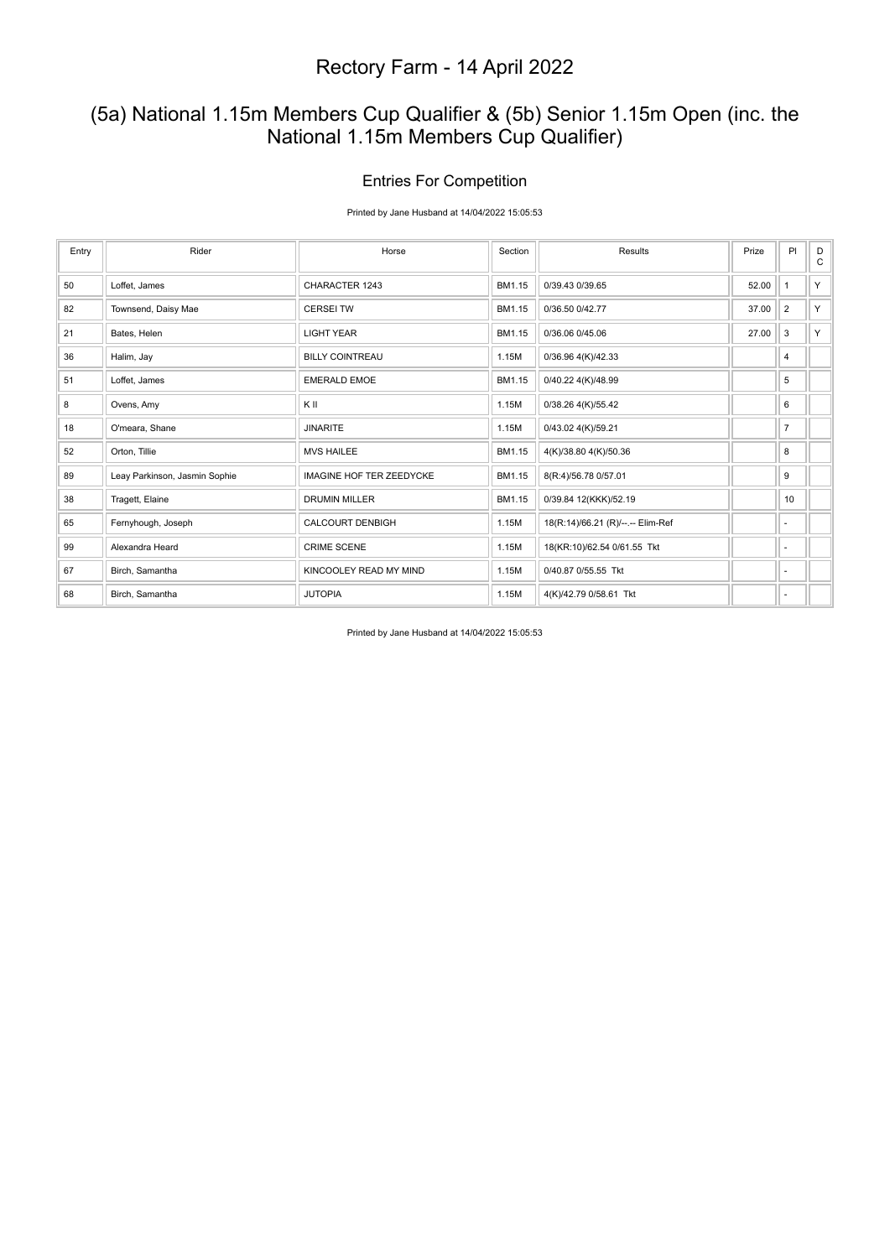### (5a) National 1.15m Members Cup Qualifier & (5b) Senior 1.15m Open (inc. the National 1.15m Members Cup Qualifier)

### Entries For Competition

Printed by Jane Husband at 14/04/2022 15:05:53

| Entry | Rider                         | Horse                           | Section | <b>Results</b>                    | Prize | PI             | D<br>C |
|-------|-------------------------------|---------------------------------|---------|-----------------------------------|-------|----------------|--------|
| 50    | Loffet, James                 | CHARACTER 1243                  | BM1.15  | 0/39.43 0/39.65                   | 52.00 |                | Y      |
| 82    | Townsend, Daisy Mae           | <b>CERSEI TW</b>                | BM1.15  | 0/36.50 0/42.77                   | 37.00 | $\overline{2}$ | Y      |
| 21    | Bates, Helen                  | <b>LIGHT YEAR</b>               | BM1.15  | 0/36.06 0/45.06                   | 27.00 | 3              | Y      |
| 36    | Halim, Jay                    | <b>BILLY COINTREAU</b>          | 1.15M   | 0/36.96 4(K)/42.33                |       | 4              |        |
| 51    | Loffet, James                 | <b>EMERALD EMOE</b>             | BM1.15  | 0/40.22 4(K)/48.99                |       | 5              |        |
| 8     | Ovens, Amy                    | KII                             | 1.15M   | 0/38.26 4(K)/55.42                |       | 6              |        |
| 18    | O'meara, Shane                | <b>JINARITE</b>                 | 1.15M   | 0/43.02 4(K)/59.21                |       | $\overline{7}$ |        |
| 52    | Orton, Tillie                 | <b>MVS HAILEE</b>               | BM1.15  | 4(K)/38.80 4(K)/50.36             |       | 8              |        |
| 89    | Leay Parkinson, Jasmin Sophie | <b>IMAGINE HOF TER ZEEDYCKE</b> | BM1.15  | 8(R:4)/56.78 0/57.01              |       | 9              |        |
| 38    | Tragett, Elaine               | <b>DRUMIN MILLER</b>            | BM1.15  | 0/39.84 12(KKK)/52.19             |       | 10             |        |
| 65    | Fernyhough, Joseph            | <b>CALCOURT DENBIGH</b>         | 1.15M   | 18(R:14)/66.21 (R)/--.-- Elim-Ref |       | ٠              |        |
| 99    | Alexandra Heard               | <b>CRIME SCENE</b>              | 1.15M   | 18(KR:10)/62.54 0/61.55 Tkt       |       | ٠              |        |
| 67    | Birch, Samantha               | KINCOOLEY READ MY MIND          | 1.15M   | 0/40.87 0/55.55 Tkt               |       | $\sim$         |        |
| 68    | Birch, Samantha               | <b>JUTOPIA</b>                  | 1.15M   | 4(K)/42.79 0/58.61 Tkt            |       | $\sim$         |        |

Printed by Jane Husband at 14/04/2022 15:05:53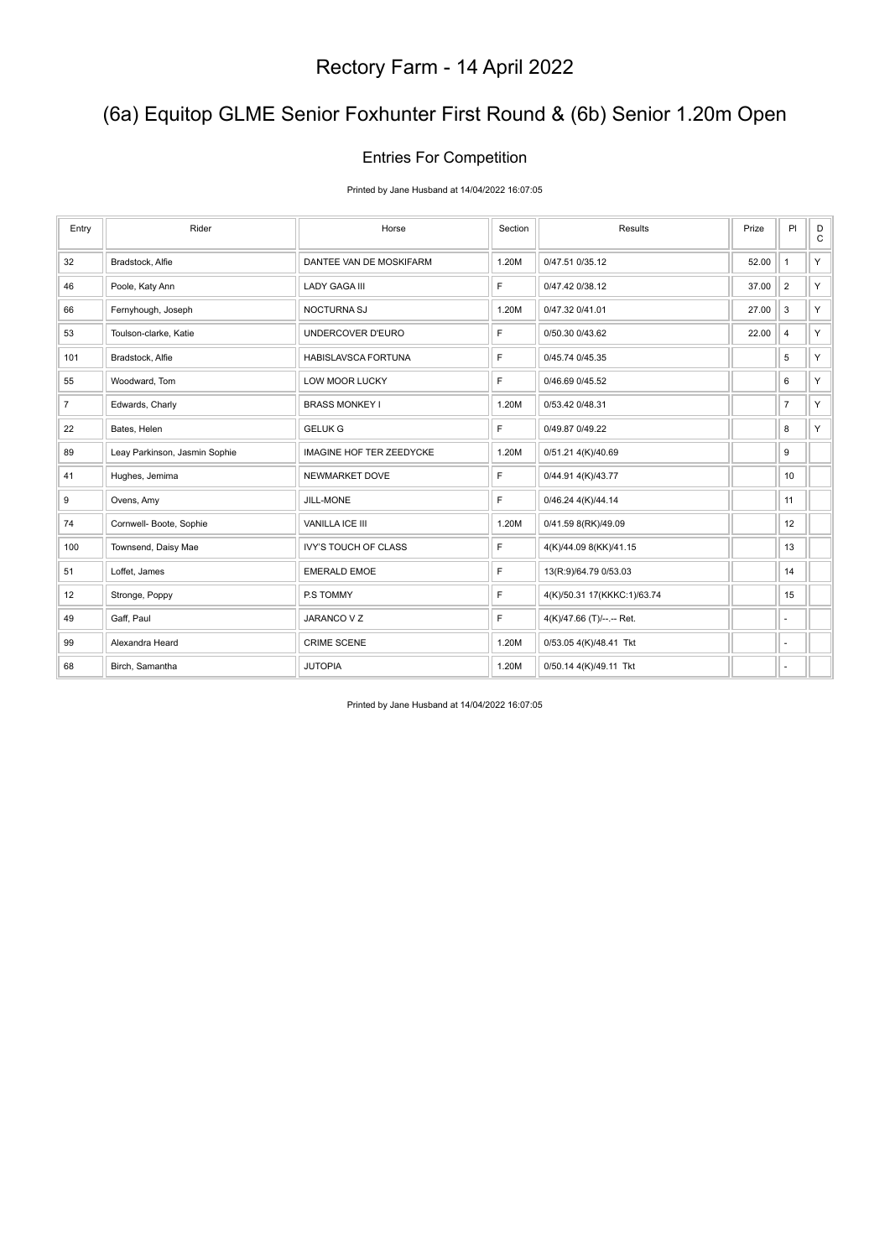# (6a) Equitop GLME Senior Foxhunter First Round & (6b) Senior 1.20m Open

### Entries For Competition

Printed by Jane Husband at 14/04/2022 16:07:05

| Entry          | Rider                         | Horse                           | Section | Results                     | Prize | PI             | D<br>$\mathtt{C}$ |
|----------------|-------------------------------|---------------------------------|---------|-----------------------------|-------|----------------|-------------------|
| 32             | Bradstock, Alfie              | DANTEE VAN DE MOSKIFARM         | 1.20M   | 0/47.51 0/35.12             | 52.00 | $\mathbf{1}$   | Y                 |
| 46             | Poole, Katy Ann               | <b>LADY GAGA III</b>            | F       | 0/47.42 0/38.12             | 37.00 | $\overline{2}$ | Y                 |
| 66             | Fernyhough, Joseph            | NOCTURNA SJ                     | 1.20M   | 0/47.32 0/41.01             | 27.00 | 3              | Y                 |
| 53             | Toulson-clarke, Katie         | UNDERCOVER D'EURO               | F       | 0/50.30 0/43.62             | 22.00 | 4              | Y                 |
| 101            | Bradstock, Alfie              | HABISLAVSCA FORTUNA             | F       | 0/45.74 0/45.35             |       | 5              | Y                 |
| 55             | Woodward, Tom                 | LOW MOOR LUCKY                  | F.      | 0/46.69 0/45.52             |       | 6              | Y                 |
| $\overline{7}$ | Edwards, Charly               | <b>BRASS MONKEY I</b>           | 1.20M   | 0/53.42 0/48.31             |       | $\overline{7}$ | Y                 |
| 22             | Bates, Helen                  | <b>GELUK G</b>                  | F.      | 0/49.87 0/49.22             |       | 8              | Y.                |
| 89             | Leay Parkinson, Jasmin Sophie | <b>IMAGINE HOF TER ZEEDYCKE</b> | 1.20M   | 0/51.21 4(K)/40.69          |       | 9              |                   |
| 41             | Hughes, Jemima                | NEWMARKET DOVE                  | F.      | 0/44.91 4(K)/43.77          |       | 10             |                   |
| 9              | Ovens, Amy                    | JILL-MONE                       | F.      | 0/46.24 4(K)/44.14          |       | 11             |                   |
| 74             | Cornwell- Boote, Sophie       | VANILLA ICE III                 | 1.20M   | 0/41.59 8(RK)/49.09         |       | 12             |                   |
| 100            | Townsend, Daisy Mae           | <b>IVY'S TOUCH OF CLASS</b>     | F.      | 4(K)/44.09 8(KK)/41.15      |       | 13             |                   |
| 51             | Loffet, James                 | <b>EMERALD EMOE</b>             | F       | 13(R:9)/64.79 0/53.03       |       | 14             |                   |
| 12             | Stronge, Poppy                | P.S TOMMY                       | F       | 4(K)/50.31 17(KKKC:1)/63.74 |       | 15             |                   |
| 49             | Gaff, Paul                    | JARANCO V Z                     | F       | 4(K)/47.66 (T)/--.-- Ret.   |       |                |                   |
| 99             | Alexandra Heard               | <b>CRIME SCENE</b>              | 1.20M   | 0/53.05 4(K)/48.41 Tkt      |       | ٠              |                   |
| 68             | Birch, Samantha               | <b>JUTOPIA</b>                  | 1.20M   | 0/50.14 4(K)/49.11 Tkt      |       | ÷              |                   |

Printed by Jane Husband at 14/04/2022 16:07:05